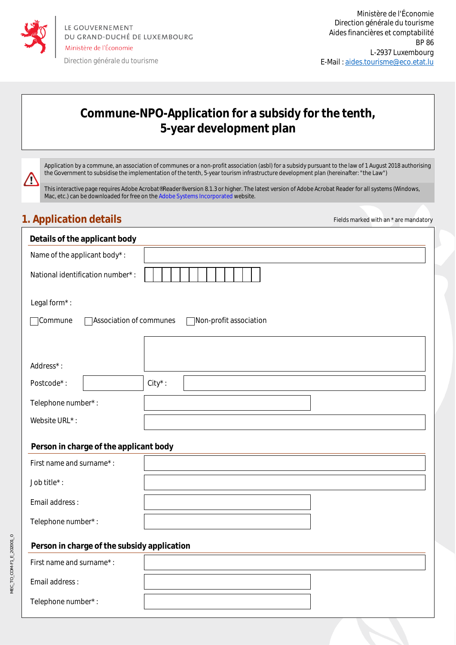

# **Commune-NPO-Application for a subsidy for the tenth, 5-year development plan**

Application by a commune, an association of communes or a non-profit association (asbl) for a subsidy pursuant to the law of 1 August 2018 authorising the Government to subsidise the implementation of the tenth, 5-year tourism infrastructure development plan (hereinafter: "the Law")

This interactive page requires Adobe Acrobat® Reader® version 8.1.3 or higher. The latest version of Adobe Acrobat Reader for all systems (Windows, Mac, etc.) can be downloaded for free on the Adobe Systems Incorporated website.

## **1. Application details Fields marked with an \* are mandatory 1. Application details**

 $\bf \Psi$ 

| Details of the applicant body                                |            |  |  |  |
|--------------------------------------------------------------|------------|--|--|--|
| Name of the applicant body*:                                 |            |  |  |  |
| National identification number*:                             |            |  |  |  |
| Legal form*:                                                 |            |  |  |  |
| Commune<br>Association of communes<br>Non-profit association |            |  |  |  |
|                                                              |            |  |  |  |
| Address*:                                                    |            |  |  |  |
| Postcode*:                                                   | $City^*$ : |  |  |  |
| Telephone number*:                                           |            |  |  |  |
| Website URL*:                                                |            |  |  |  |
| Person in charge of the applicant body                       |            |  |  |  |
| First name and surname*:                                     |            |  |  |  |
| Job title*:                                                  |            |  |  |  |
| Email address:                                               |            |  |  |  |
| Telephone number*:                                           |            |  |  |  |
| Person in charge of the subsidy application                  |            |  |  |  |
| First name and surname*:                                     |            |  |  |  |
| Email address:                                               |            |  |  |  |
| Telephone number*:                                           |            |  |  |  |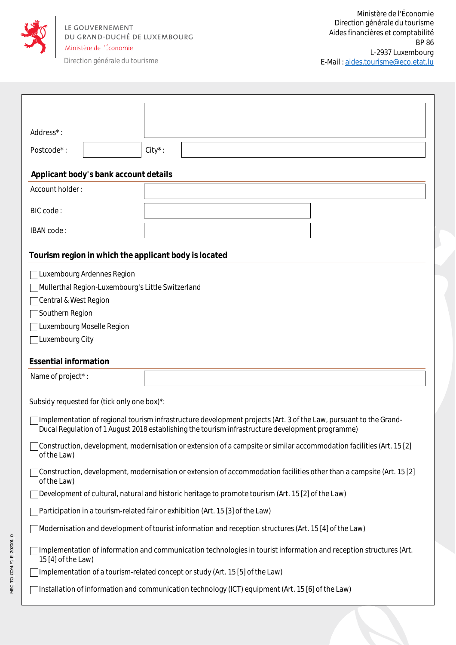

MEC\_TO\_COM-F1\_E\_202001\_0

MEC\_TO\_COM-F1\_E\_202001\_0

Direction générale du tourisme

| Address*:                                                                                                                                                                                                             |                                                   |            |  |  |
|-----------------------------------------------------------------------------------------------------------------------------------------------------------------------------------------------------------------------|---------------------------------------------------|------------|--|--|
|                                                                                                                                                                                                                       |                                                   |            |  |  |
| Postcode*:                                                                                                                                                                                                            |                                                   | $City^*$ : |  |  |
|                                                                                                                                                                                                                       | Applicant body's bank account details             |            |  |  |
| Account holder:                                                                                                                                                                                                       |                                                   |            |  |  |
| BIC code:                                                                                                                                                                                                             |                                                   |            |  |  |
| IBAN code:                                                                                                                                                                                                            |                                                   |            |  |  |
| Tourism region in which the applicant body is located                                                                                                                                                                 |                                                   |            |  |  |
|                                                                                                                                                                                                                       | Luxembourg Ardennes Region                        |            |  |  |
|                                                                                                                                                                                                                       | Mullerthal Region-Luxembourg's Little Switzerland |            |  |  |
| Central & West Region                                                                                                                                                                                                 |                                                   |            |  |  |
| Southern Region                                                                                                                                                                                                       |                                                   |            |  |  |
|                                                                                                                                                                                                                       | Luxembourg Moselle Region                         |            |  |  |
| Luxembourg City                                                                                                                                                                                                       |                                                   |            |  |  |
| <b>Essential information</b>                                                                                                                                                                                          |                                                   |            |  |  |
| Name of project*:                                                                                                                                                                                                     |                                                   |            |  |  |
| Subsidy requested for (tick only one box)*:                                                                                                                                                                           |                                                   |            |  |  |
| Implementation of regional tourism infrastructure development projects (Art. 3 of the Law, pursuant to the Grand-<br>Ducal Regulation of 1 August 2018 establishing the tourism infrastructure development programme) |                                                   |            |  |  |
| Construction, development, modernisation or extension of a campsite or similar accommodation facilities (Art. 15 [2]<br>of the Law)                                                                                   |                                                   |            |  |  |
| Construction, development, modernisation or extension of accommodation facilities other than a campsite (Art. 15 [2]<br>of the Law)                                                                                   |                                                   |            |  |  |
| Development of cultural, natural and historic heritage to promote tourism (Art. 15 [2] of the Law)                                                                                                                    |                                                   |            |  |  |
| Participation in a tourism-related fair or exhibition (Art. 15 [3] of the Law)                                                                                                                                        |                                                   |            |  |  |
| Modernisation and development of tourist information and reception structures (Art. 15 [4] of the Law)                                                                                                                |                                                   |            |  |  |
| Implementation of information and communication technologies in tourist information and reception structures (Art.<br>15 [4] of the Law)                                                                              |                                                   |            |  |  |
| Implementation of a tourism-related concept or study (Art. 15 [5] of the Law)                                                                                                                                         |                                                   |            |  |  |
| Installation of information and communication technology (ICT) equipment (Art. 15 [6] of the Law)                                                                                                                     |                                                   |            |  |  |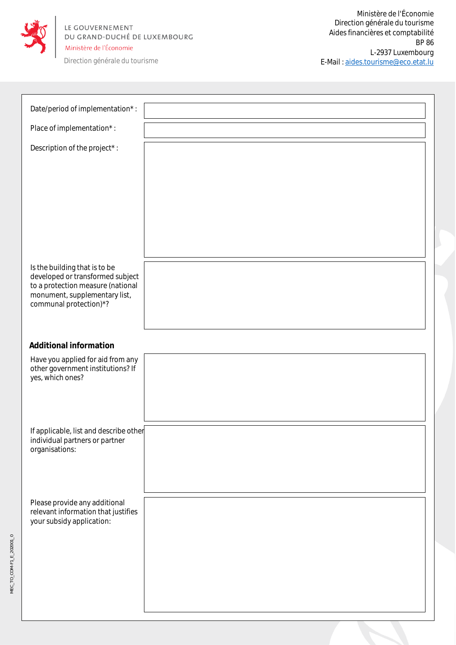

MEC\_TO\_COM-F1\_E\_202001\_0

MEC\_TO\_COM-F1\_E\_202001\_0

Direction générale du tourisme

| Date/period of implementation*:                                          |  |
|--------------------------------------------------------------------------|--|
| Place of implementation*:                                                |  |
| Description of the project*:                                             |  |
|                                                                          |  |
|                                                                          |  |
|                                                                          |  |
|                                                                          |  |
|                                                                          |  |
|                                                                          |  |
| Is the building that is to be<br>developed or transformed subject        |  |
| to a protection measure (national<br>monument, supplementary list,       |  |
| communal protection)*?                                                   |  |
|                                                                          |  |
| <b>Additional information</b>                                            |  |
| Have you applied for aid from any<br>other government institutions? If   |  |
| yes, which ones?                                                         |  |
|                                                                          |  |
|                                                                          |  |
| If applicable, list and describe other<br>individual partners or partner |  |
| organisations:                                                           |  |
|                                                                          |  |
|                                                                          |  |
| Please provide any additional<br>relevant information that justifies     |  |
| your subsidy application:                                                |  |
|                                                                          |  |
|                                                                          |  |
|                                                                          |  |
|                                                                          |  |
|                                                                          |  |